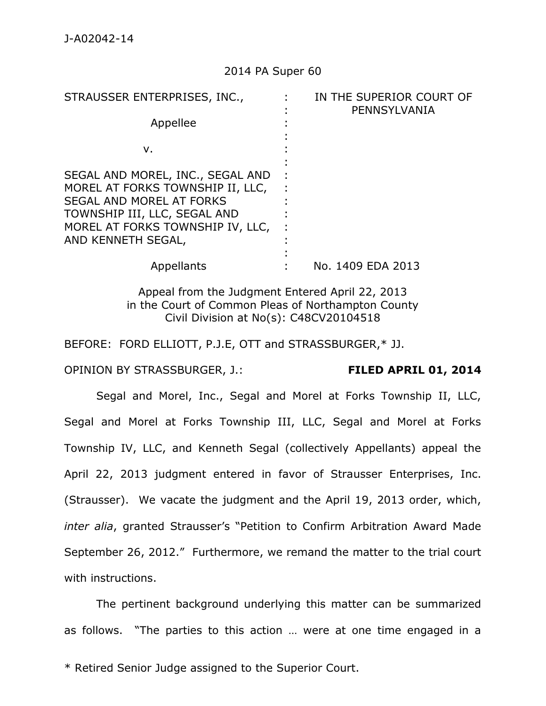### 2014 PA Super 60

| STRAUSSER ENTERPRISES, INC.,                                                                                                                                                                      |  | IN THE SUPERIOR COURT OF<br>PENNSYLVANIA |
|---------------------------------------------------------------------------------------------------------------------------------------------------------------------------------------------------|--|------------------------------------------|
| Appellee                                                                                                                                                                                          |  |                                          |
| v.                                                                                                                                                                                                |  |                                          |
| SEGAL AND MOREL, INC., SEGAL AND<br>MOREL AT FORKS TOWNSHIP II, LLC,<br><b>SEGAL AND MOREL AT FORKS</b><br>TOWNSHIP III, LLC, SEGAL AND<br>MOREL AT FORKS TOWNSHIP IV, LLC,<br>AND KENNETH SEGAL, |  |                                          |
| Appellants                                                                                                                                                                                        |  | No. 1409 EDA 2013                        |
|                                                                                                                                                                                                   |  |                                          |

Appeal from the Judgment Entered April 22, 2013 in the Court of Common Pleas of Northampton County Civil Division at No(s): C48CV20104518

BEFORE: FORD ELLIOTT, P.J.E, OTT and STRASSBURGER,\* JJ.

OPINION BY STRASSBURGER, J.: **FILED APRIL 01, 2014**

Segal and Morel, Inc., Segal and Morel at Forks Township II, LLC, Segal and Morel at Forks Township III, LLC, Segal and Morel at Forks Township IV, LLC, and Kenneth Segal (collectively Appellants) appeal the April 22, 2013 judgment entered in favor of Strausser Enterprises, Inc. (Strausser). We vacate the judgment and the April 19, 2013 order, which, *inter alia*, granted Strausser's "Petition to Confirm Arbitration Award Made September 26, 2012." Furthermore, we remand the matter to the trial court with instructions.

The pertinent background underlying this matter can be summarized as follows. "The parties to this action … were at one time engaged in a

\* Retired Senior Judge assigned to the Superior Court.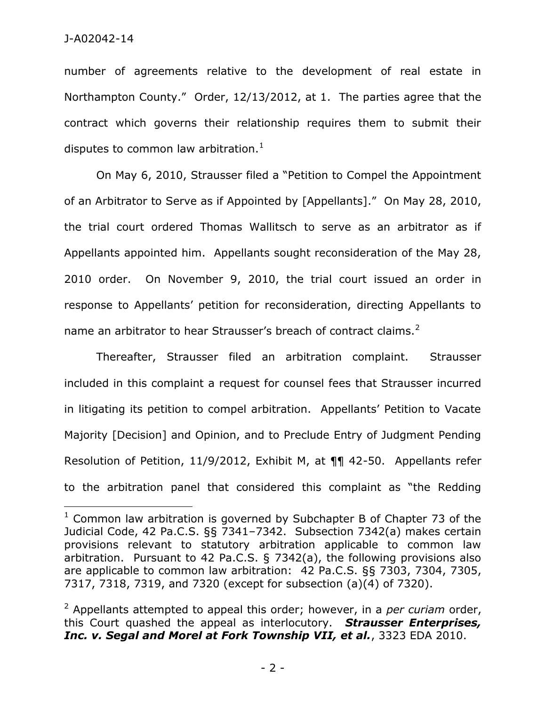number of agreements relative to the development of real estate in Northampton County." Order, 12/13/2012, at 1. The parties agree that the contract which governs their relationship requires them to submit their disputes to common law arbitration.<sup>1</sup>

On May 6, 2010, Strausser filed a "Petition to Compel the Appointment of an Arbitrator to Serve as if Appointed by [Appellants]." On May 28, 2010, the trial court ordered Thomas Wallitsch to serve as an arbitrator as if Appellants appointed him. Appellants sought reconsideration of the May 28, 2010 order. On November 9, 2010, the trial court issued an order in response to Appellants' petition for reconsideration, directing Appellants to name an arbitrator to hear Strausser's breach of contract claims.<sup>2</sup>

Thereafter, Strausser filed an arbitration complaint. Strausser included in this complaint a request for counsel fees that Strausser incurred in litigating its petition to compel arbitration. Appellants' Petition to Vacate Majority [Decision] and Opinion, and to Preclude Entry of Judgment Pending Resolution of Petition, 11/9/2012, Exhibit M, at ¶¶ 42-50. Appellants refer to the arbitration panel that considered this complaint as "the Redding

 $1$  Common law arbitration is governed by Subchapter B of Chapter 73 of the Judicial Code, 42 Pa.C.S. §§ 7341–7342. Subsection 7342(a) makes certain provisions relevant to statutory arbitration applicable to common law arbitration. Pursuant to 42 Pa.C.S. § 7342(a), the following provisions also are applicable to common law arbitration: 42 Pa.C.S. §§ 7303, 7304, 7305, 7317, 7318, 7319, and 7320 (except for subsection (a)(4) of 7320).

<sup>2</sup> Appellants attempted to appeal this order; however, in a *per curiam* order, this Court quashed the appeal as interlocutory. *Strausser Enterprises, Inc. v. Segal and Morel at Fork Township VII, et al.*, 3323 EDA 2010.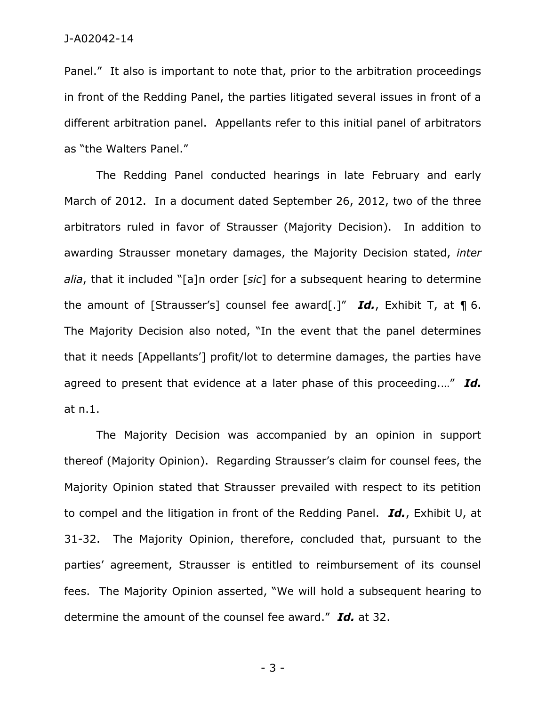Panel." It also is important to note that, prior to the arbitration proceedings in front of the Redding Panel, the parties litigated several issues in front of a different arbitration panel. Appellants refer to this initial panel of arbitrators as "the Walters Panel."

The Redding Panel conducted hearings in late February and early March of 2012. In a document dated September 26, 2012, two of the three arbitrators ruled in favor of Strausser (Majority Decision). In addition to awarding Strausser monetary damages, the Majority Decision stated, *inter alia*, that it included "[a]n order [*sic*] for a subsequent hearing to determine the amount of [Strausser's] counsel fee award[.]" *Id.*, Exhibit T, at ¶ 6. The Majority Decision also noted, "In the event that the panel determines that it needs [Appellants'] profit/lot to determine damages, the parties have agreed to present that evidence at a later phase of this proceeding.…" *Id.* at n.1.

The Majority Decision was accompanied by an opinion in support thereof (Majority Opinion). Regarding Strausser's claim for counsel fees, the Majority Opinion stated that Strausser prevailed with respect to its petition to compel and the litigation in front of the Redding Panel. *Id.*, Exhibit U, at 31-32. The Majority Opinion, therefore, concluded that, pursuant to the parties' agreement, Strausser is entitled to reimbursement of its counsel fees. The Majority Opinion asserted, "We will hold a subsequent hearing to determine the amount of the counsel fee award." *Id.* at 32.

- 3 -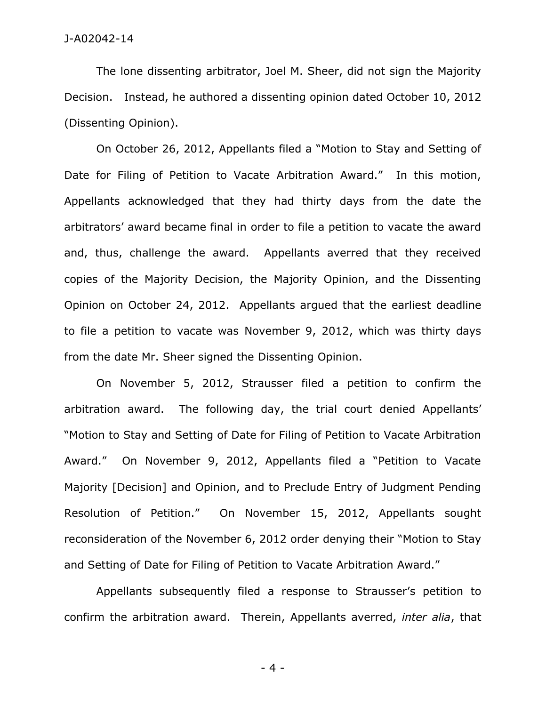The lone dissenting arbitrator, Joel M. Sheer, did not sign the Majority Decision. Instead, he authored a dissenting opinion dated October 10, 2012 (Dissenting Opinion).

On October 26, 2012, Appellants filed a "Motion to Stay and Setting of Date for Filing of Petition to Vacate Arbitration Award." In this motion, Appellants acknowledged that they had thirty days from the date the arbitrators' award became final in order to file a petition to vacate the award and, thus, challenge the award. Appellants averred that they received copies of the Majority Decision, the Majority Opinion, and the Dissenting Opinion on October 24, 2012. Appellants argued that the earliest deadline to file a petition to vacate was November 9, 2012, which was thirty days from the date Mr. Sheer signed the Dissenting Opinion.

On November 5, 2012, Strausser filed a petition to confirm the arbitration award. The following day, the trial court denied Appellants' "Motion to Stay and Setting of Date for Filing of Petition to Vacate Arbitration Award." On November 9, 2012, Appellants filed a "Petition to Vacate Majority [Decision] and Opinion, and to Preclude Entry of Judgment Pending Resolution of Petition." On November 15, 2012, Appellants sought reconsideration of the November 6, 2012 order denying their "Motion to Stay and Setting of Date for Filing of Petition to Vacate Arbitration Award."

Appellants subsequently filed a response to Strausser's petition to confirm the arbitration award. Therein, Appellants averred, *inter alia*, that

- 4 -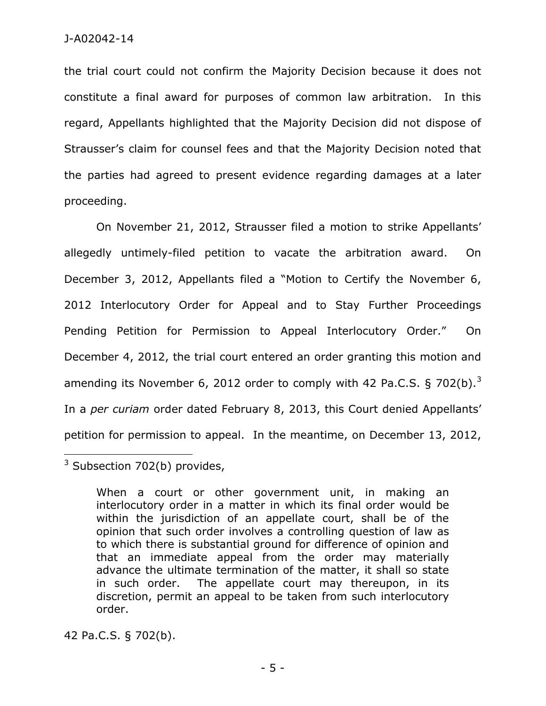the trial court could not confirm the Majority Decision because it does not constitute a final award for purposes of common law arbitration. In this regard, Appellants highlighted that the Majority Decision did not dispose of Strausser's claim for counsel fees and that the Majority Decision noted that the parties had agreed to present evidence regarding damages at a later proceeding.

On November 21, 2012, Strausser filed a motion to strike Appellants' allegedly untimely-filed petition to vacate the arbitration award. On December 3, 2012, Appellants filed a "Motion to Certify the November 6, 2012 Interlocutory Order for Appeal and to Stay Further Proceedings Pending Petition for Permission to Appeal Interlocutory Order." On December 4, 2012, the trial court entered an order granting this motion and amending its November 6, 2012 order to comply with 42 Pa.C.S. § 702(b).<sup>3</sup> In a *per curiam* order dated February 8, 2013, this Court denied Appellants' petition for permission to appeal. In the meantime, on December 13, 2012,

 $3$  Subsection 702(b) provides,

 $\overline{a}$ 

When a court or other government unit, in making an interlocutory order in a matter in which its final order would be within the jurisdiction of an appellate court, shall be of the opinion that such order involves a controlling question of law as to which there is substantial ground for difference of opinion and that an immediate appeal from the order may materially advance the ultimate termination of the matter, it shall so state in such order. The appellate court may thereupon, in its discretion, permit an appeal to be taken from such interlocutory order.

42 Pa.C.S. § 702(b).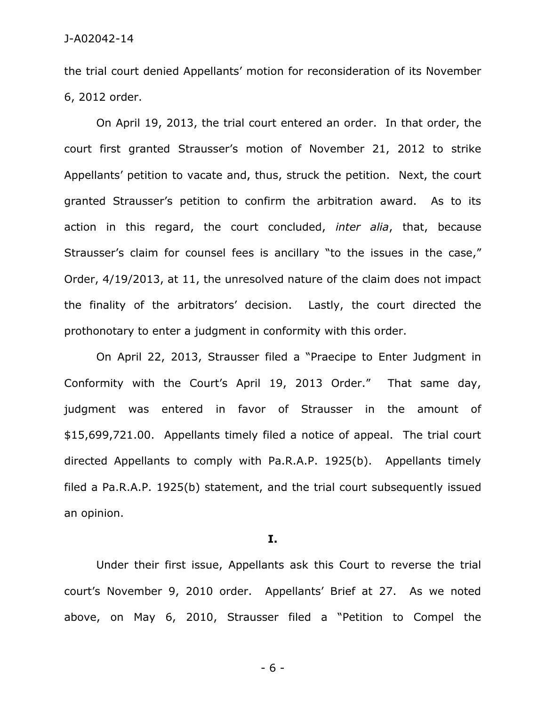the trial court denied Appellants' motion for reconsideration of its November 6, 2012 order.

On April 19, 2013, the trial court entered an order. In that order, the court first granted Strausser's motion of November 21, 2012 to strike Appellants' petition to vacate and, thus, struck the petition. Next, the court granted Strausser's petition to confirm the arbitration award. As to its action in this regard, the court concluded, *inter alia*, that, because Strausser's claim for counsel fees is ancillary "to the issues in the case," Order, 4/19/2013, at 11, the unresolved nature of the claim does not impact the finality of the arbitrators' decision. Lastly, the court directed the prothonotary to enter a judgment in conformity with this order.

On April 22, 2013, Strausser filed a "Praecipe to Enter Judgment in Conformity with the Court's April 19, 2013 Order." That same day, judgment was entered in favor of Strausser in the amount of \$15,699,721.00. Appellants timely filed a notice of appeal. The trial court directed Appellants to comply with Pa.R.A.P. 1925(b). Appellants timely filed a Pa.R.A.P. 1925(b) statement, and the trial court subsequently issued an opinion.

#### **I.**

Under their first issue, Appellants ask this Court to reverse the trial court's November 9, 2010 order. Appellants' Brief at 27. As we noted above, on May 6, 2010, Strausser filed a "Petition to Compel the

- 6 -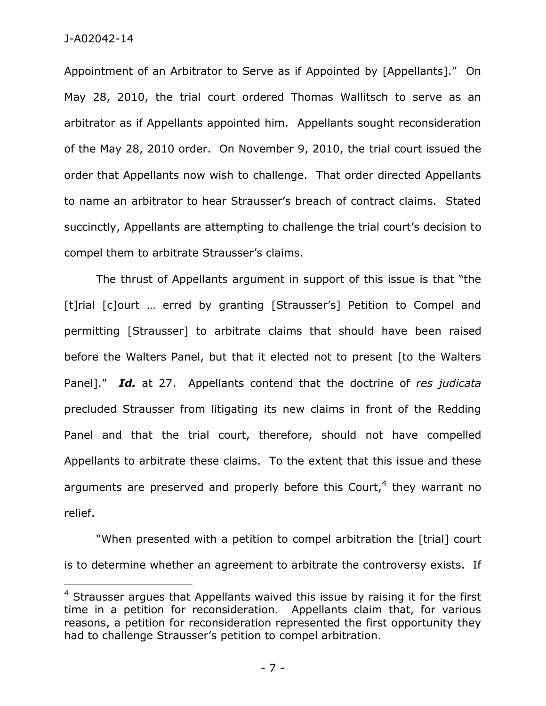J-A02042-14

 $\overline{a}$ 

Appointment of an Arbitrator to Serve as if Appointed by [Appellants]." On May 28, 2010, the trial court ordered Thomas Wallitsch to serve as an arbitrator as if Appellants appointed him. Appellants sought reconsideration of the May 28, 2010 order. On November 9, 2010, the trial court issued the order that Appellants now wish to challenge. That order directed Appellants to name an arbitrator to hear Strausser's breach of contract claims. Stated succinctly, Appellants are attempting to challenge the trial court's decision to compel them to arbitrate Strausser's claims.

The thrust of Appellants argument in support of this issue is that "the [t]rial [c]ourt ... erred by granting [Strausser's] Petition to Compel and permitting [Strausser] to arbitrate claims that should have been raised before the Walters Panel, but that it elected not to present [to the Walters Panel]." *Id.* at 27. Appellants contend that the doctrine of *res judicata* precluded Strausser from litigating its new claims in front of the Redding Panel and that the trial court, therefore, should not have compelled Appellants to arbitrate these claims. To the extent that this issue and these arguments are preserved and properly before this Court,<sup>4</sup> they warrant no relief.

"When presented with a petition to compel arbitration the [trial] court is to determine whether an agreement to arbitrate the controversy exists. If

 $4$  Strausser argues that Appellants waived this issue by raising it for the first time in a petition for reconsideration. Appellants claim that, for various reasons, a petition for reconsideration represented the first opportunity they had to challenge Strausser's petition to compel arbitration.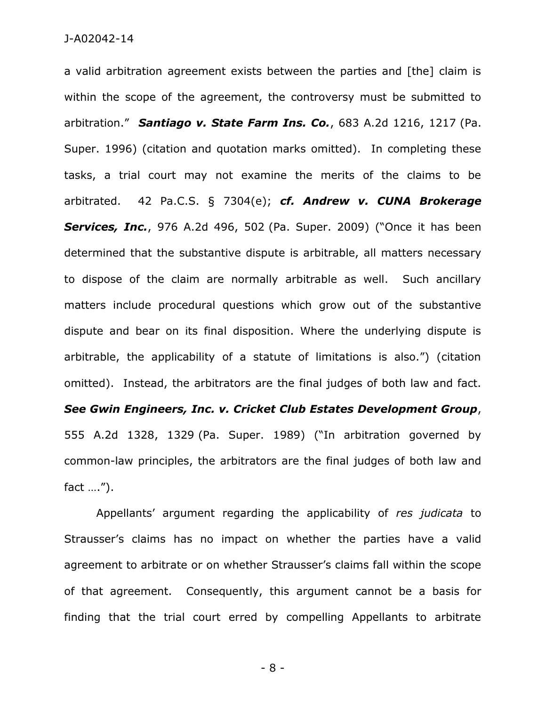a valid arbitration agreement exists between the parties and [the] claim is within the scope of the agreement, the controversy must be submitted to arbitration." *Santiago v. State Farm Ins. Co.*, 683 A.2d 1216, 1217 (Pa. Super. 1996) (citation and quotation marks omitted). In completing these tasks, a trial court may not examine the merits of the claims to be arbitrated. 42 Pa.C.S. § 7304(e); *cf. Andrew v. CUNA Brokerage Services, Inc.*, 976 A.2d 496, 502 (Pa. Super. 2009) ("Once it has been determined that the substantive dispute is arbitrable, all matters necessary to dispose of the claim are normally arbitrable as well. Such ancillary matters include procedural questions which grow out of the substantive dispute and bear on its final disposition. Where the underlying dispute is arbitrable, the applicability of a statute of limitations is also.") (citation omitted). Instead, the arbitrators are the final judges of both law and fact. *See Gwin Engineers, Inc. v. Cricket Club Estates Development Group*, 555 A.2d 1328, 1329 (Pa. Super. 1989) ("In arbitration governed by common-law principles, the arbitrators are the final judges of both law and fact ….").

Appellants' argument regarding the applicability of *res judicata* to Strausser's claims has no impact on whether the parties have a valid agreement to arbitrate or on whether Strausser's claims fall within the scope of that agreement. Consequently, this argument cannot be a basis for finding that the trial court erred by compelling Appellants to arbitrate

- 8 -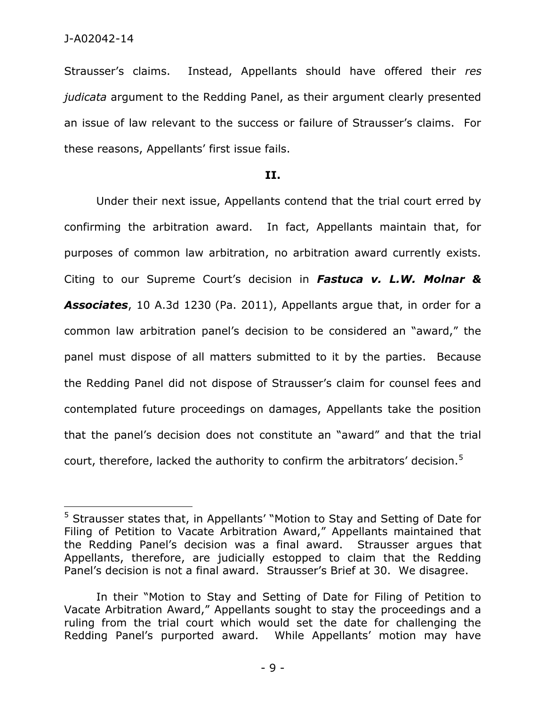Strausser's claims. Instead, Appellants should have offered their *res judicata* argument to the Redding Panel, as their argument clearly presented an issue of law relevant to the success or failure of Strausser's claims. For these reasons, Appellants' first issue fails.

#### **II.**

Under their next issue, Appellants contend that the trial court erred by confirming the arbitration award. In fact, Appellants maintain that, for purposes of common law arbitration, no arbitration award currently exists. Citing to our Supreme Court's decision in *Fastuca v. L.W. Molnar & Associates*, 10 A.3d 1230 (Pa. 2011), Appellants argue that, in order for a common law arbitration panel's decision to be considered an "award," the panel must dispose of all matters submitted to it by the parties. Because the Redding Panel did not dispose of Strausser's claim for counsel fees and contemplated future proceedings on damages, Appellants take the position that the panel's decision does not constitute an "award" and that the trial court, therefore, lacked the authority to confirm the arbitrators' decision.<sup>5</sup>

<sup>5</sup> Strausser states that, in Appellants' "Motion to Stay and Setting of Date for Filing of Petition to Vacate Arbitration Award," Appellants maintained that the Redding Panel's decision was a final award. Strausser argues that Appellants, therefore, are judicially estopped to claim that the Redding Panel's decision is not a final award. Strausser's Brief at 30. We disagree.

In their "Motion to Stay and Setting of Date for Filing of Petition to Vacate Arbitration Award," Appellants sought to stay the proceedings and a ruling from the trial court which would set the date for challenging the Redding Panel's purported award. While Appellants' motion may have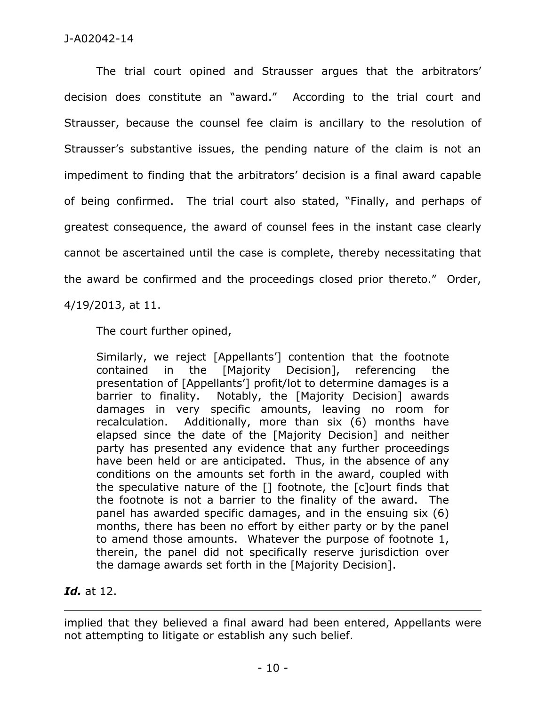## J-A02042-14

The trial court opined and Strausser argues that the arbitrators' decision does constitute an "award." According to the trial court and Strausser, because the counsel fee claim is ancillary to the resolution of Strausser's substantive issues, the pending nature of the claim is not an impediment to finding that the arbitrators' decision is a final award capable of being confirmed. The trial court also stated, "Finally, and perhaps of greatest consequence, the award of counsel fees in the instant case clearly cannot be ascertained until the case is complete, thereby necessitating that the award be confirmed and the proceedings closed prior thereto." Order, 4/19/2013, at 11.

The court further opined,

Similarly, we reject [Appellants'] contention that the footnote contained in the [Majority Decision], referencing the presentation of [Appellants'] profit/lot to determine damages is a barrier to finality. Notably, the [Majority Decision] awards damages in very specific amounts, leaving no room for recalculation. Additionally, more than six (6) months have elapsed since the date of the [Majority Decision] and neither party has presented any evidence that any further proceedings have been held or are anticipated. Thus, in the absence of any conditions on the amounts set forth in the award, coupled with the speculative nature of the [] footnote, the [c]ourt finds that the footnote is not a barrier to the finality of the award. The panel has awarded specific damages, and in the ensuing six (6) months, there has been no effort by either party or by the panel to amend those amounts. Whatever the purpose of footnote 1, therein, the panel did not specifically reserve jurisdiction over the damage awards set forth in the [Majority Decision].

# *Id.* at 12.

 $\overline{a}$ 

implied that they believed a final award had been entered, Appellants were not attempting to litigate or establish any such belief.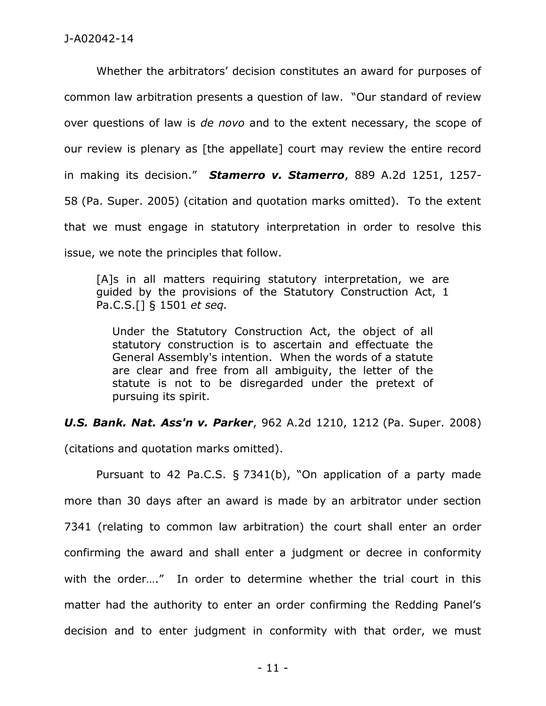Whether the arbitrators' decision constitutes an award for purposes of common law arbitration presents a question of law. "Our standard of review over questions of law is *de novo* and to the extent necessary, the scope of our review is plenary as [the appellate] court may review the entire record in making its decision." *Stamerro v. Stamerro*, 889 A.2d 1251, 1257- 58 (Pa. Super. 2005) (citation and quotation marks omitted). To the extent that we must engage in statutory interpretation in order to resolve this issue, we note the principles that follow.

[A]s in all matters requiring statutory interpretation, we are guided by the provisions of the Statutory Construction Act, 1 Pa.C.S.[] § 1501 *et seq.*

Under the Statutory Construction Act, the object of all statutory construction is to ascertain and effectuate the General Assembly's intention. When the words of a statute are clear and free from all ambiguity, the letter of the statute is not to be disregarded under the pretext of pursuing its spirit.

*U.S. Bank. Nat. Ass'n v. Parker*, 962 A.2d 1210, 1212 (Pa. Super. 2008)

(citations and quotation marks omitted).

Pursuant to 42 Pa.C.S. § 7341(b), "On application of a party made more than 30 days after an award is made by an arbitrator under section 7341 (relating to common law arbitration) the court shall enter an order confirming the award and shall enter a judgment or decree in conformity with the order...." In order to determine whether the trial court in this matter had the authority to enter an order confirming the Redding Panel's decision and to enter judgment in conformity with that order, we must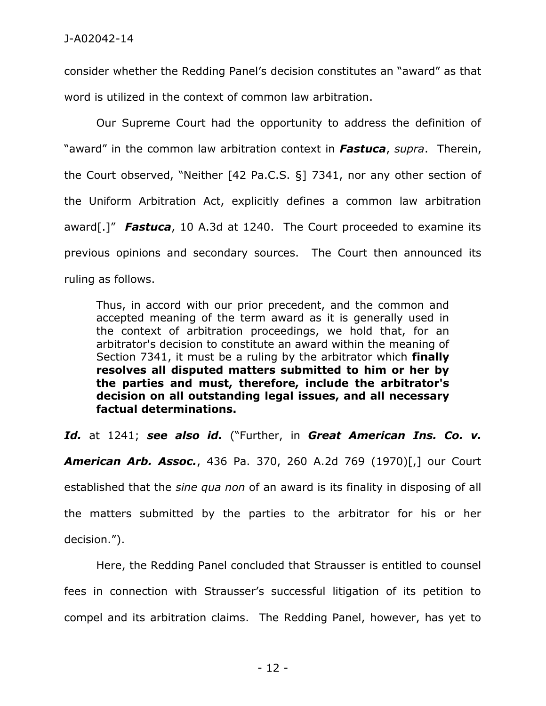consider whether the Redding Panel's decision constitutes an "award" as that word is utilized in the context of common law arbitration.

Our Supreme Court had the opportunity to address the definition of "award" in the common law arbitration context in *Fastuca*, *supra*. Therein, the Court observed, "Neither [42 Pa.C.S. §] 7341, nor any other section of the Uniform Arbitration Act, explicitly defines a common law arbitration award[.]" *Fastuca*, 10 A.3d at 1240. The Court proceeded to examine its previous opinions and secondary sources. The Court then announced its ruling as follows.

Thus, in accord with our prior precedent, and the common and accepted meaning of the term award as it is generally used in the context of arbitration proceedings, we hold that, for an arbitrator's decision to constitute an award within the meaning of Section 7341, it must be a ruling by the arbitrator which **finally resolves all disputed matters submitted to him or her by the parties and must, therefore, include the arbitrator's decision on all outstanding legal issues, and all necessary factual determinations.**

*Id.* at 1241; *see also id.* ("Further, in *Great American Ins. Co. v.* 

*American Arb. Assoc.*, 436 Pa. 370, 260 A.2d 769 (1970)[,] our Court established that the *sine qua non* of an award is its finality in disposing of all the matters submitted by the parties to the arbitrator for his or her decision.").

Here, the Redding Panel concluded that Strausser is entitled to counsel fees in connection with Strausser's successful litigation of its petition to compel and its arbitration claims. The Redding Panel, however, has yet to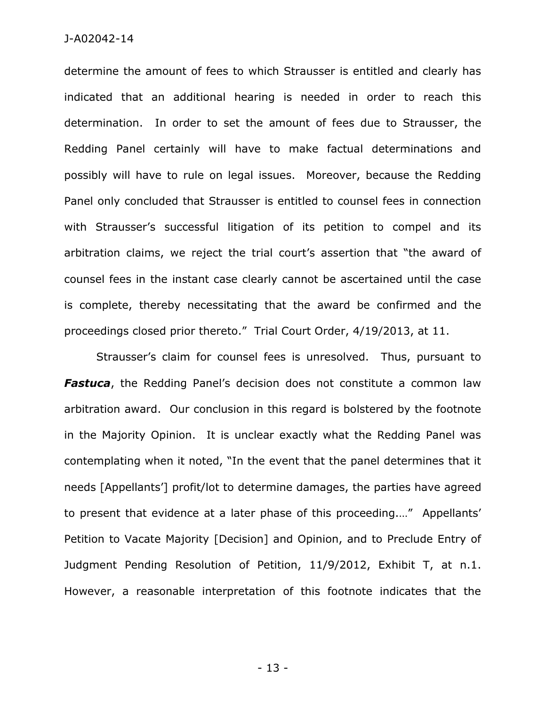determine the amount of fees to which Strausser is entitled and clearly has indicated that an additional hearing is needed in order to reach this determination. In order to set the amount of fees due to Strausser, the Redding Panel certainly will have to make factual determinations and possibly will have to rule on legal issues. Moreover, because the Redding Panel only concluded that Strausser is entitled to counsel fees in connection with Strausser's successful litigation of its petition to compel and its arbitration claims, we reject the trial court's assertion that "the award of counsel fees in the instant case clearly cannot be ascertained until the case is complete, thereby necessitating that the award be confirmed and the proceedings closed prior thereto." Trial Court Order, 4/19/2013, at 11.

Strausser's claim for counsel fees is unresolved. Thus, pursuant to *Fastuca*, the Redding Panel's decision does not constitute a common law arbitration award. Our conclusion in this regard is bolstered by the footnote in the Majority Opinion. It is unclear exactly what the Redding Panel was contemplating when it noted, "In the event that the panel determines that it needs [Appellants'] profit/lot to determine damages, the parties have agreed to present that evidence at a later phase of this proceeding.…" Appellants' Petition to Vacate Majority [Decision] and Opinion, and to Preclude Entry of Judgment Pending Resolution of Petition, 11/9/2012, Exhibit T, at n.1. However, a reasonable interpretation of this footnote indicates that the

- 13 -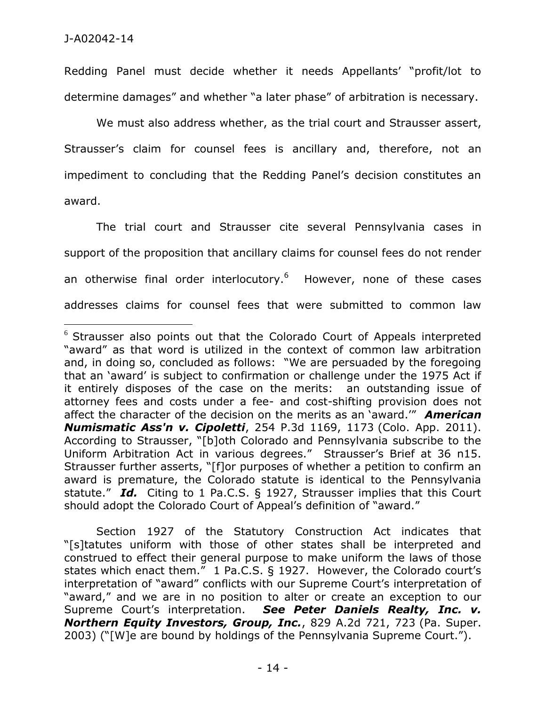Redding Panel must decide whether it needs Appellants' "profit/lot to determine damages" and whether "a later phase" of arbitration is necessary.

We must also address whether, as the trial court and Strausser assert, Strausser's claim for counsel fees is ancillary and, therefore, not an impediment to concluding that the Redding Panel's decision constitutes an award.

The trial court and Strausser cite several Pennsylvania cases in support of the proposition that ancillary claims for counsel fees do not render an otherwise final order interlocutory.<sup>6</sup> However, none of these cases addresses claims for counsel fees that were submitted to common law

Section 1927 of the Statutory Construction Act indicates that "[s]tatutes uniform with those of other states shall be interpreted and construed to effect their general purpose to make uniform the laws of those states which enact them." 1 Pa.C.S. § 1927. However, the Colorado court's interpretation of "award" conflicts with our Supreme Court's interpretation of "award," and we are in no position to alter or create an exception to our Supreme Court's interpretation. *See Peter Daniels Realty, Inc. v. Northern Equity Investors, Group, Inc.*, 829 A.2d 721, 723 (Pa. Super. 2003) ("[W]e are bound by holdings of the Pennsylvania Supreme Court.").

 $6$  Strausser also points out that the Colorado Court of Appeals interpreted "award" as that word is utilized in the context of common law arbitration and, in doing so, concluded as follows: "We are persuaded by the foregoing that an 'award' is subject to confirmation or challenge under the 1975 Act if it entirely disposes of the case on the merits: an outstanding issue of attorney fees and costs under a fee- and cost-shifting provision does not affect the character of the decision on the merits as an 'award.'" *American Numismatic Ass'n v. Cipoletti*, 254 P.3d 1169, 1173 (Colo. App. 2011). According to Strausser, "[b]oth Colorado and Pennsylvania subscribe to the Uniform Arbitration Act in various degrees." Strausser's Brief at 36 n15. Strausser further asserts, "[f]or purposes of whether a petition to confirm an award is premature, the Colorado statute is identical to the Pennsylvania statute." *Id.* Citing to 1 Pa.C.S. § 1927, Strausser implies that this Court should adopt the Colorado Court of Appeal's definition of "award."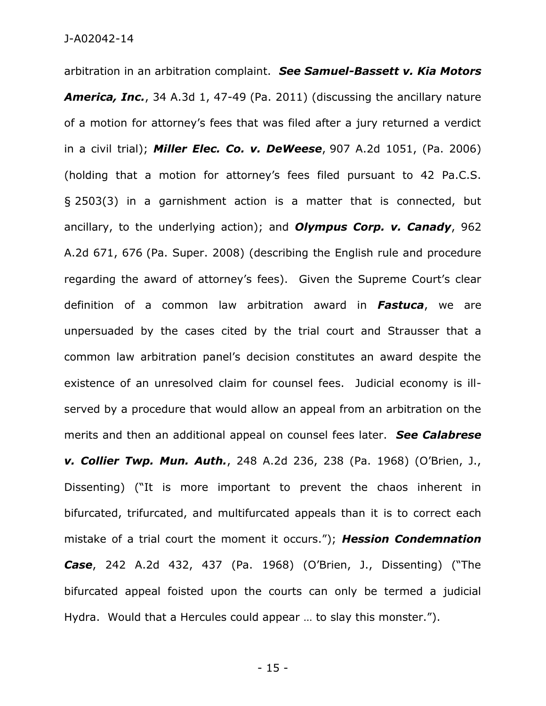arbitration in an arbitration complaint. *See Samuel-Bassett v. Kia Motors America, Inc.*, 34 A.3d 1, 47-49 (Pa. 2011) (discussing the ancillary nature of a motion for attorney's fees that was filed after a jury returned a verdict in a civil trial); *Miller Elec. Co. v. DeWeese*, 907 A.2d 1051, (Pa. 2006) (holding that a motion for attorney's fees filed pursuant to 42 Pa.C.S. § 2503(3) in a garnishment action is a matter that is connected, but ancillary, to the underlying action); and *Olympus Corp. v. Canady*, 962 A.2d 671, 676 (Pa. Super. 2008) (describing the English rule and procedure regarding the award of attorney's fees). Given the Supreme Court's clear definition of a common law arbitration award in *Fastuca*, we are unpersuaded by the cases cited by the trial court and Strausser that a common law arbitration panel's decision constitutes an award despite the existence of an unresolved claim for counsel fees. Judicial economy is illserved by a procedure that would allow an appeal from an arbitration on the merits and then an additional appeal on counsel fees later. *See Calabrese v. Collier Twp. Mun. Auth.*, 248 A.2d 236, 238 (Pa. 1968) (O'Brien, J., Dissenting) ("It is more important to prevent the chaos inherent in bifurcated, trifurcated, and multifurcated appeals than it is to correct each mistake of a trial court the moment it occurs."); *Hession Condemnation Case*, 242 A.2d 432, 437 (Pa. 1968) (O'Brien, J., Dissenting) ("The bifurcated appeal foisted upon the courts can only be termed a judicial Hydra. Would that a Hercules could appear … to slay this monster.").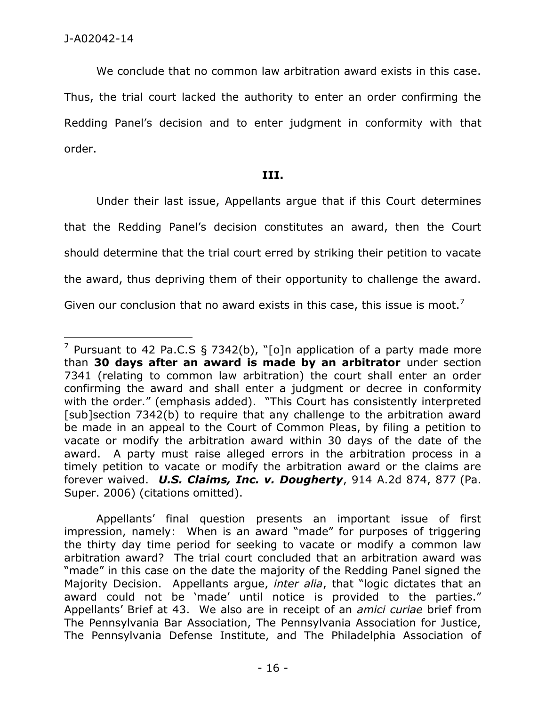We conclude that no common law arbitration award exists in this case. Thus, the trial court lacked the authority to enter an order confirming the Redding Panel's decision and to enter judgment in conformity with that order.

### **III.**

Under their last issue, Appellants argue that if this Court determines that the Redding Panel's decision constitutes an award, then the Court should determine that the trial court erred by striking their petition to vacate the award, thus depriving them of their opportunity to challenge the award. Given our conclusion that no award exists in this case, this issue is moot.<sup>7</sup>

<sup>&</sup>lt;sup>7</sup> Pursuant to 42 Pa.C.S § 7342(b), "[o]n application of a party made more than **30 days after an award is made by an arbitrator** under section 7341 (relating to common law arbitration) the court shall enter an order confirming the award and shall enter a judgment or decree in conformity with the order." (emphasis added). "This Court has consistently interpreted [sub]section 7342(b) to require that any challenge to the arbitration award be made in an appeal to the Court of Common Pleas, by filing a petition to vacate or modify the arbitration award within 30 days of the date of the award. A party must raise alleged errors in the arbitration process in a timely petition to vacate or modify the arbitration award or the claims are forever waived. *U.S. Claims, Inc. v. Dougherty*, 914 A.2d 874, 877 (Pa. Super. 2006) (citations omitted).

Appellants' final question presents an important issue of first impression, namely: When is an award "made" for purposes of triggering the thirty day time period for seeking to vacate or modify a common law arbitration award? The trial court concluded that an arbitration award was "made" in this case on the date the majority of the Redding Panel signed the Majority Decision. Appellants argue, *inter alia*, that "logic dictates that an award could not be 'made' until notice is provided to the parties." Appellants' Brief at 43. We also are in receipt of an *amici curiae* brief from The Pennsylvania Bar Association, The Pennsylvania Association for Justice, The Pennsylvania Defense Institute, and The Philadelphia Association of